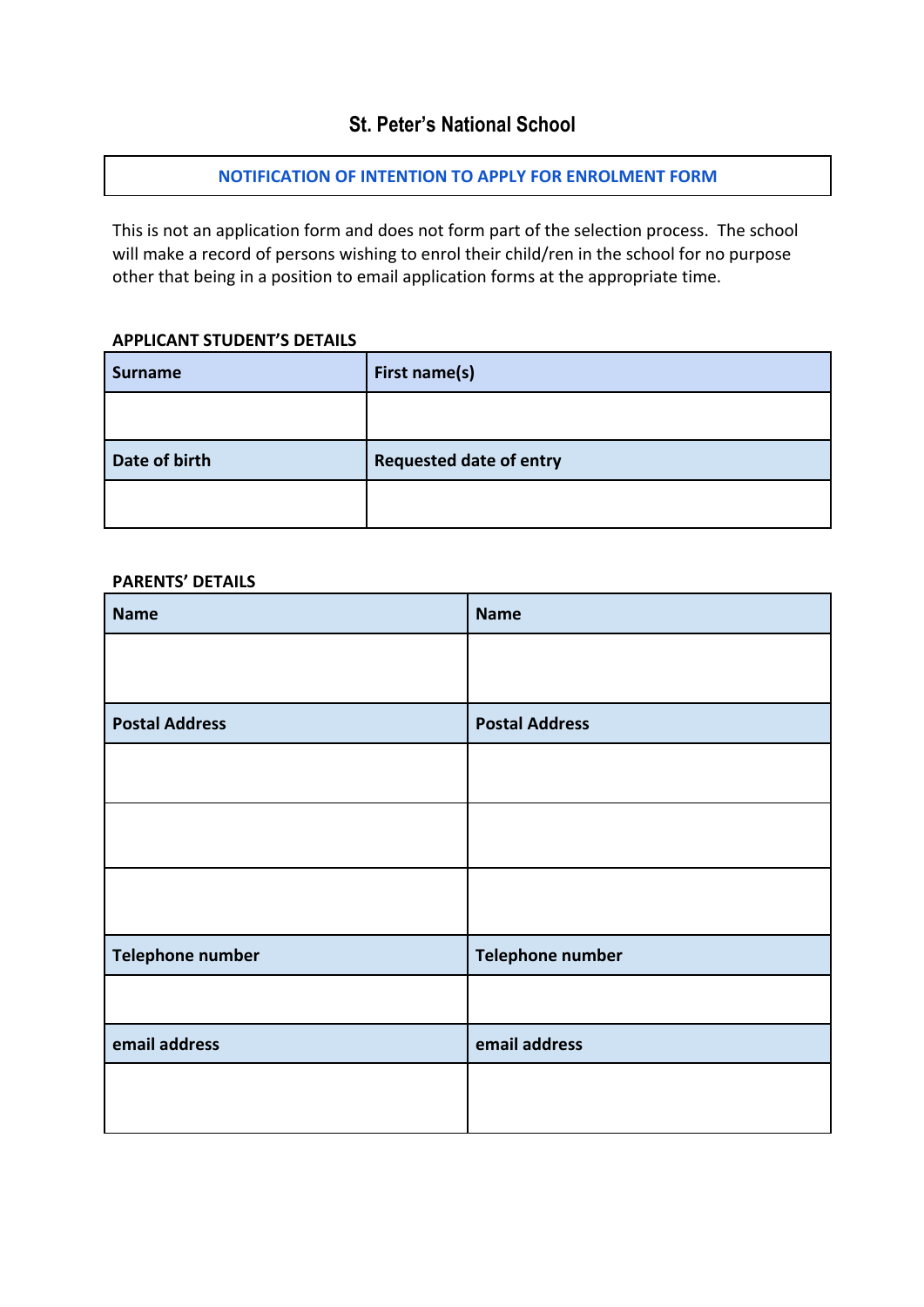# **St. Peter's National School**

## **NOTIFICATION OF INTENTION TO APPLY FOR ENROLMENT FORM**

This is not an application form and does not form part of the selection process. The school will make a record of persons wishing to enrol their child/ren in the school for no purpose other that being in a position to email application forms at the appropriate time.

## **APPLICANT STUDENT'S DETAILS**

| <b>Surname</b> | First name(s)                  |
|----------------|--------------------------------|
|                |                                |
| Date of birth  | <b>Requested date of entry</b> |
|                |                                |

#### **PARENTS' DETAILS**

| <b>Name</b>           | <b>Name</b>           |
|-----------------------|-----------------------|
|                       |                       |
| <b>Postal Address</b> | <b>Postal Address</b> |
|                       |                       |
|                       |                       |
|                       |                       |
| Telephone number      | Telephone number      |
|                       |                       |
| email address         | email address         |
|                       |                       |